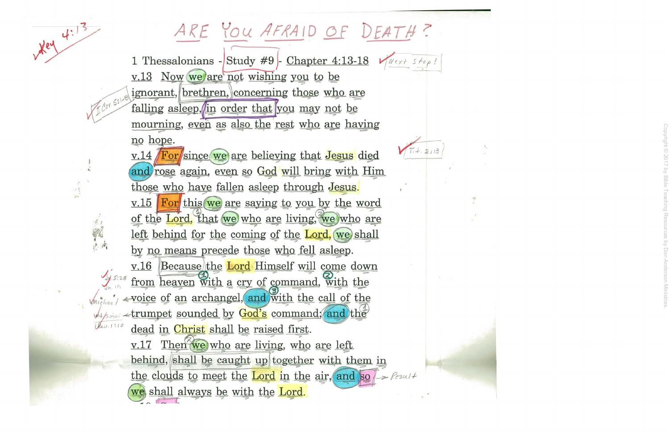## ARE YOU AFRAID OF DEATH?

1 Thessalonians - Study #9 - Chapter 4:13-18  $\sqrt{N^e \times 15^e \rho}$ v.13 Now we are not wishing you to be ignorant, brethren, concerning those who are falling asleep, in order that you may not be mourning, even as also the rest who are having no hope.

 $xe4$ 

v.14 For since we are believing that Jesus died and rose again, even so God will bring with Him those who have fallen asleep through Jesus.  $\underline{v.15}$  For this we are saying to you by the word of the Lord, that we who are living, we who are left behind for the coming of the Lord, we shall by no means precede those who fell asleep. v.16 Because the Lord Himself will come down from heaven with a cry of command, with the Way it is a strumpet sounded by God's command; and the dead in Christ shall be raised first. v.17 Then we who are living, who are left behind, shall be caught up together with them in the clouds to meet the Lord in the air, and so  $\rightarrow$  Result we shall always be with the Lord.